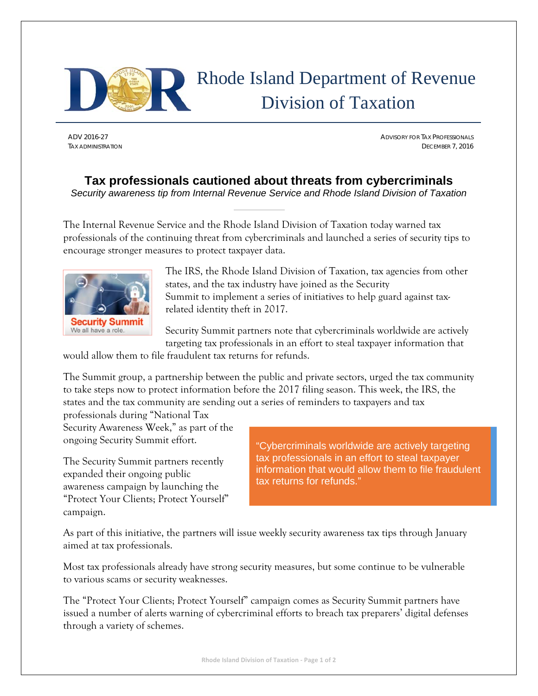

## Rhode Island Department of Revenue Division of Taxation

ADV 2016-27 ADVISORY FOR TAX PROFESSIONALS TAX ADMINISTRATION DECEMBER 7, 2016

## **Tax professionals cautioned about threats from cybercriminals**  *Security awareness tip from Internal Revenue Service and Rhode Island Division of Taxation*

The Internal Revenue Service and the Rhode Island Division of Taxation today warned tax professionals of the continuing threat from cybercriminals and launched a series of security tips to encourage stronger measures to protect taxpayer data.



The IRS, the Rhode Island Division of Taxation, tax agencies from other states, and the tax industry have joined as the Security Summit to implement a series of initiatives to help guard against taxrelated identity theft in 2017.

Security Summit partners note that cybercriminals worldwide are actively targeting tax professionals in an effort to steal taxpayer information that

would allow them to file fraudulent tax returns for refunds.

The Summit group, a partnership between the public and private sectors, urged the tax community to take steps now to protect information before the 2017 filing season. This week, the IRS, the states and the tax community are sending out a series of reminders to taxpayers and tax

professionals during "National Tax Security Awareness Week," as part of the ongoing Security Summit effort.

The Security Summit partners recently expanded their ongoing public awareness campaign by launching the "Protect Your Clients; Protect Yourself" campaign.

"Cybercriminals worldwide are actively targeting tax professionals in an effort to steal taxpayer information that would allow them to file fraudulent tax returns for refunds."

As part of this initiative, the partners will issue weekly security awareness tax tips through January aimed at tax professionals.

Most tax professionals already have strong security measures, but some continue to be vulnerable to various scams or security weaknesses.

The "Protect Your Clients; Protect Yourself" campaign comes as Security Summit partners have issued a number of alerts warning of cybercriminal efforts to breach tax preparers' digital defenses through a variety of schemes.